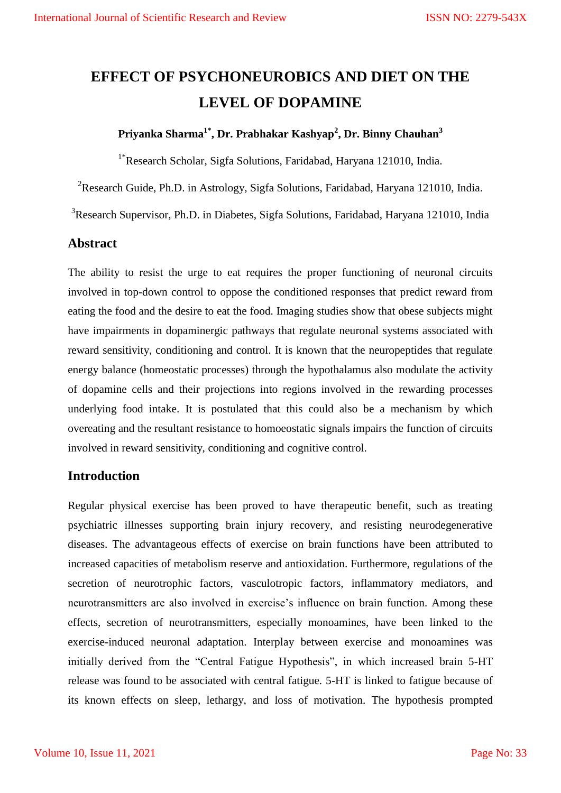# **EFFECT OF PSYCHONEUROBICS AND DIET ON THE LEVEL OF DOPAMINE**

## **Priyanka Sharma1\* , Dr. Prabhakar Kashyap<sup>2</sup> , Dr. Binny Chauhan<sup>3</sup>**

1\*Research Scholar, Sigfa Solutions, Faridabad, Haryana 121010, India.

<sup>2</sup>Research Guide, Ph.D. in Astrology, Sigfa Solutions, Faridabad, Haryana 121010, India.

<sup>3</sup>Research Supervisor, Ph.D. in Diabetes, Sigfa Solutions, Faridabad, Haryana 121010, India

### **Abstract**

The ability to resist the urge to eat requires the proper functioning of neuronal circuits involved in top-down control to oppose the conditioned responses that predict reward from eating the food and the desire to eat the food. Imaging studies show that obese subjects might have impairments in dopaminergic pathways that regulate neuronal systems associated with reward sensitivity, conditioning and control. It is known that the neuropeptides that regulate energy balance (homeostatic processes) through the hypothalamus also modulate the activity of dopamine cells and their projections into regions involved in the rewarding processes underlying food intake. It is postulated that this could also be a mechanism by which overeating and the resultant resistance to homoeostatic signals impairs the function of circuits involved in reward sensitivity, conditioning and cognitive control.

#### **Introduction**

Regular physical exercise has been proved to have therapeutic benefit, such as treating psychiatric illnesses supporting brain injury recovery, and resisting neurodegenerative diseases. The advantageous effects of exercise on brain functions have been attributed to increased capacities of metabolism reserve and antioxidation. Furthermore, regulations of the secretion of neurotrophic factors, vasculotropic factors, inflammatory mediators, and neurotransmitters are also involved in exercise's influence on brain function. Among these effects, secretion of neurotransmitters, especially monoamines, have been linked to the exercise-induced neuronal adaptation. Interplay between exercise and monoamines was initially derived from the "Central Fatigue Hypothesis", in which increased brain 5-HT release was found to be associated with central fatigue. 5-HT is linked to fatigue because of its known effects on sleep, lethargy, and loss of motivation. The hypothesis prompted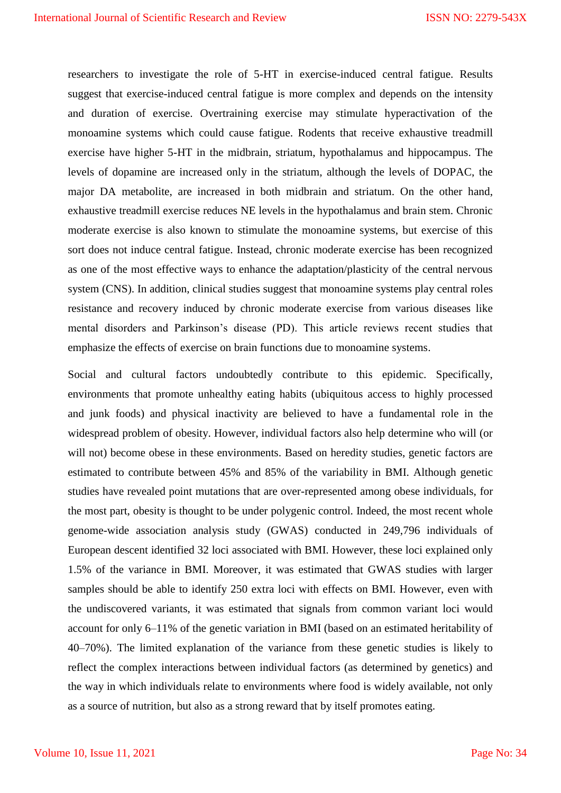researchers to investigate the role of 5-HT in exercise-induced central fatigue. Results suggest that exercise-induced central fatigue is more complex and depends on the intensity and duration of exercise. Overtraining exercise may stimulate hyperactivation of the monoamine systems which could cause fatigue. Rodents that receive exhaustive treadmill exercise have higher 5-HT in the midbrain, striatum, hypothalamus and hippocampus. The levels of dopamine are increased only in the striatum, although the levels of DOPAC, the major DA metabolite, are increased in both midbrain and striatum. On the other hand, exhaustive treadmill exercise reduces NE levels in the hypothalamus and brain stem. Chronic moderate exercise is also known to stimulate the monoamine systems, but exercise of this sort does not induce central fatigue. Instead, chronic moderate exercise has been recognized as one of the most effective ways to enhance the adaptation/plasticity of the central nervous system (CNS). In addition, clinical studies suggest that monoamine systems play central roles resistance and recovery induced by chronic moderate exercise from various diseases like mental disorders and Parkinson's disease (PD). This article reviews recent studies that emphasize the effects of exercise on brain functions due to monoamine systems.

Social and cultural factors undoubtedly contribute to this epidemic. Specifically, environments that promote unhealthy eating habits (ubiquitous access to highly processed and junk foods) and physical inactivity are believed to have a fundamental role in the widespread problem of obesity. However, individual factors also help determine who will (or will not) become obese in these environments. Based on heredity studies, genetic factors are estimated to contribute between 45% and 85% of the variability in BMI. Although genetic studies have revealed point mutations that are over-represented among obese individuals, for the most part, obesity is thought to be under polygenic control. Indeed, the most recent whole genome-wide association analysis study (GWAS) conducted in 249,796 individuals of European descent identified 32 loci associated with BMI. However, these loci explained only 1.5% of the variance in BMI. Moreover, it was estimated that GWAS studies with larger samples should be able to identify 250 extra loci with effects on BMI. However, even with the undiscovered variants, it was estimated that signals from common variant loci would account for only 6–11% of the genetic variation in BMI (based on an estimated heritability of 40–70%). The limited explanation of the variance from these genetic studies is likely to reflect the complex interactions between individual factors (as determined by genetics) and the way in which individuals relate to environments where food is widely available, not only as a source of nutrition, but also as a strong reward that by itself promotes eating.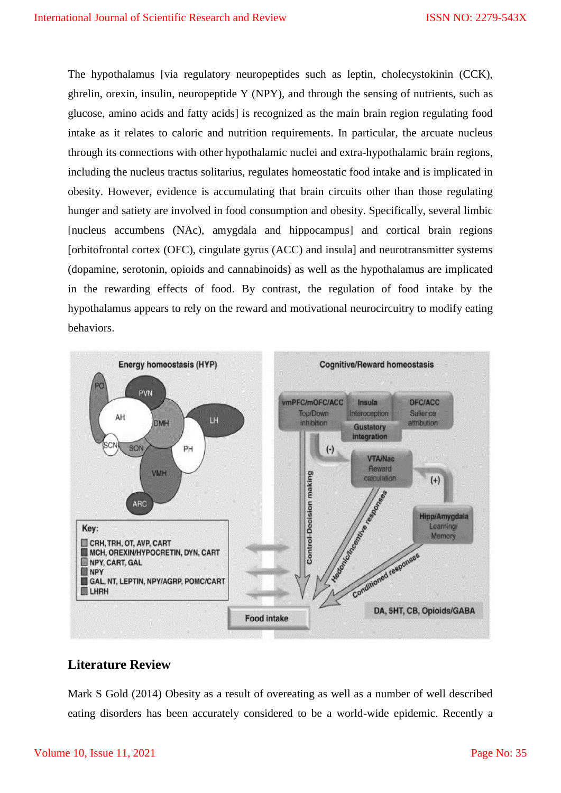The hypothalamus [via regulatory neuropeptides such as leptin, cholecystokinin (CCK), ghrelin, orexin, insulin, neuropeptide Y (NPY), and through the sensing of nutrients, such as glucose, amino acids and fatty acids] is recognized as the main brain region regulating food intake as it relates to caloric and nutrition requirements. In particular, the arcuate nucleus through its connections with other hypothalamic nuclei and extra-hypothalamic brain regions, including the nucleus tractus solitarius, regulates homeostatic food intake and is implicated in obesity. However, evidence is accumulating that brain circuits other than those regulating hunger and satiety are involved in food consumption and obesity. Specifically, several limbic [nucleus accumbens (NAc), amygdala and hippocampus] and cortical brain regions [orbitofrontal cortex (OFC), cingulate gyrus (ACC) and insula] and neurotransmitter systems (dopamine, serotonin, opioids and cannabinoids) as well as the hypothalamus are implicated in the rewarding effects of food. By contrast, the regulation of food intake by the hypothalamus appears to rely on the reward and motivational neurocircuitry to modify eating behaviors.



# **Literature Review**

Mark S Gold (2014) Obesity as a result of overeating as well as a number of well described eating disorders has been accurately considered to be a world-wide epidemic. Recently a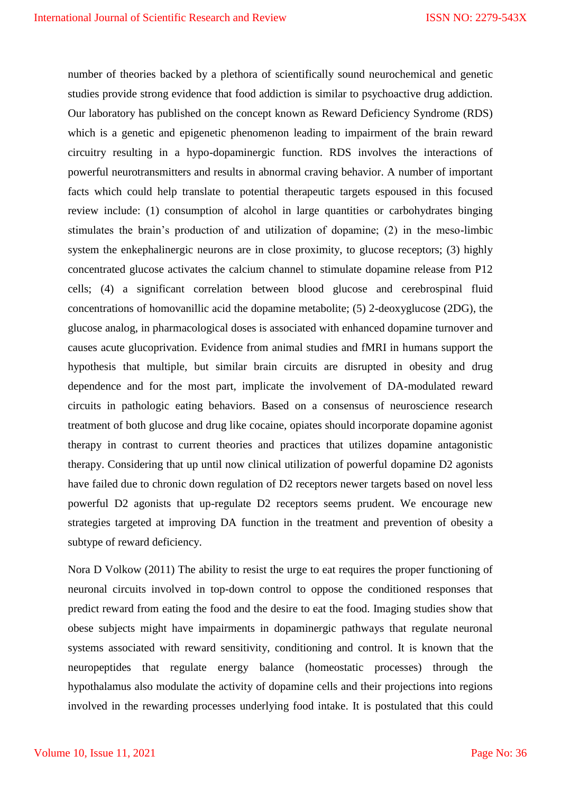number of theories backed by a plethora of scientifically sound neurochemical and genetic studies provide strong evidence that food addiction is similar to psychoactive drug addiction. Our laboratory has published on the concept known as Reward Deficiency Syndrome (RDS) which is a genetic and epigenetic phenomenon leading to impairment of the brain reward circuitry resulting in a hypo-dopaminergic function. RDS involves the interactions of powerful neurotransmitters and results in abnormal craving behavior. A number of important facts which could help translate to potential therapeutic targets espoused in this focused review include: (1) consumption of alcohol in large quantities or carbohydrates binging stimulates the brain's production of and utilization of dopamine; (2) in the meso-limbic system the enkephalinergic neurons are in close proximity, to glucose receptors; (3) highly concentrated glucose activates the calcium channel to stimulate dopamine release from P12 cells; (4) a significant correlation between blood glucose and cerebrospinal fluid concentrations of homovanillic acid the dopamine metabolite; (5) 2-deoxyglucose (2DG), the glucose analog, in pharmacological doses is associated with enhanced dopamine turnover and causes acute glucoprivation. Evidence from animal studies and fMRI in humans support the hypothesis that multiple, but similar brain circuits are disrupted in obesity and drug dependence and for the most part, implicate the involvement of DA-modulated reward circuits in pathologic eating behaviors. Based on a consensus of neuroscience research treatment of both glucose and drug like cocaine, opiates should incorporate dopamine agonist therapy in contrast to current theories and practices that utilizes dopamine antagonistic therapy. Considering that up until now clinical utilization of powerful dopamine D2 agonists have failed due to chronic down regulation of D2 receptors newer targets based on novel less powerful D2 agonists that up-regulate D2 receptors seems prudent. We encourage new strategies targeted at improving DA function in the treatment and prevention of obesity a subtype of reward deficiency.

Nora D Volkow (2011) The ability to resist the urge to eat requires the proper functioning of neuronal circuits involved in top-down control to oppose the conditioned responses that predict reward from eating the food and the desire to eat the food. Imaging studies show that obese subjects might have impairments in dopaminergic pathways that regulate neuronal systems associated with reward sensitivity, conditioning and control. It is known that the neuropeptides that regulate energy balance (homeostatic processes) through the hypothalamus also modulate the activity of dopamine cells and their projections into regions involved in the rewarding processes underlying food intake. It is postulated that this could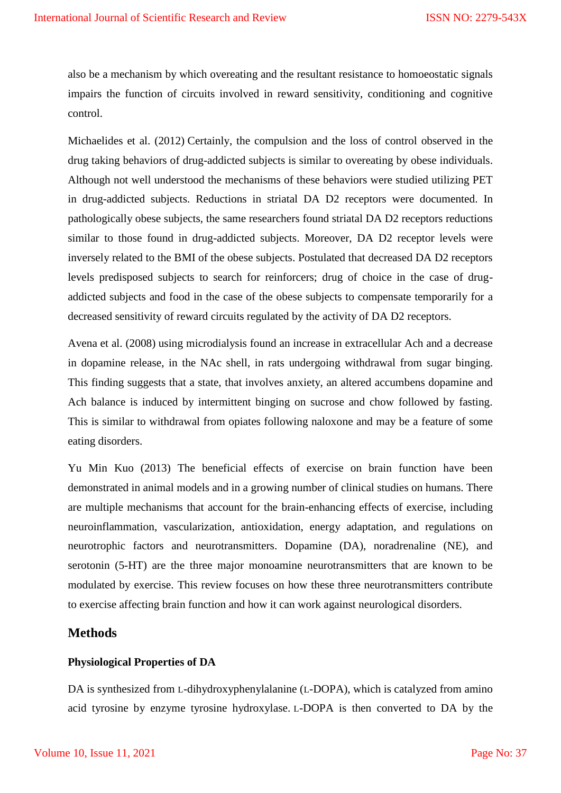also be a mechanism by which overeating and the resultant resistance to homoeostatic signals impairs the function of circuits involved in reward sensitivity, conditioning and cognitive control.

Michaelides et al. (2012) Certainly, the compulsion and the loss of control observed in the drug taking behaviors of drug-addicted subjects is similar to overeating by obese individuals. Although not well understood the mechanisms of these behaviors were studied utilizing PET in drug-addicted subjects. Reductions in striatal DA D2 receptors were documented. In pathologically obese subjects, the same researchers found striatal DA D2 receptors reductions similar to those found in drug-addicted subjects. Moreover, DA D2 receptor levels were inversely related to the BMI of the obese subjects. Postulated that decreased DA D2 receptors levels predisposed subjects to search for reinforcers; drug of choice in the case of drugaddicted subjects and food in the case of the obese subjects to compensate temporarily for a decreased sensitivity of reward circuits regulated by the activity of DA D2 receptors.

Avena et al. (2008) using microdialysis found an increase in extracellular Ach and a decrease in dopamine release, in the NAc shell, in rats undergoing withdrawal from sugar binging. This finding suggests that a state, that involves anxiety, an altered accumbens dopamine and Ach balance is induced by intermittent binging on sucrose and chow followed by fasting. This is similar to withdrawal from opiates following naloxone and may be a feature of some eating disorders.

Yu Min Kuo (2013) The beneficial effects of exercise on brain function have been demonstrated in animal models and in a growing number of clinical studies on humans. There are multiple mechanisms that account for the brain-enhancing effects of exercise, including neuroinflammation, vascularization, antioxidation, energy adaptation, and regulations on neurotrophic factors and neurotransmitters. Dopamine (DA), noradrenaline (NE), and serotonin (5-HT) are the three major monoamine neurotransmitters that are known to be modulated by exercise. This review focuses on how these three neurotransmitters contribute to exercise affecting brain function and how it can work against neurological disorders.

## **Methods**

#### **Physiological Properties of DA**

DA is synthesized from L-dihydroxyphenylalanine (L-DOPA), which is catalyzed from amino acid tyrosine by enzyme tyrosine hydroxylase. L-DOPA is then converted to DA by the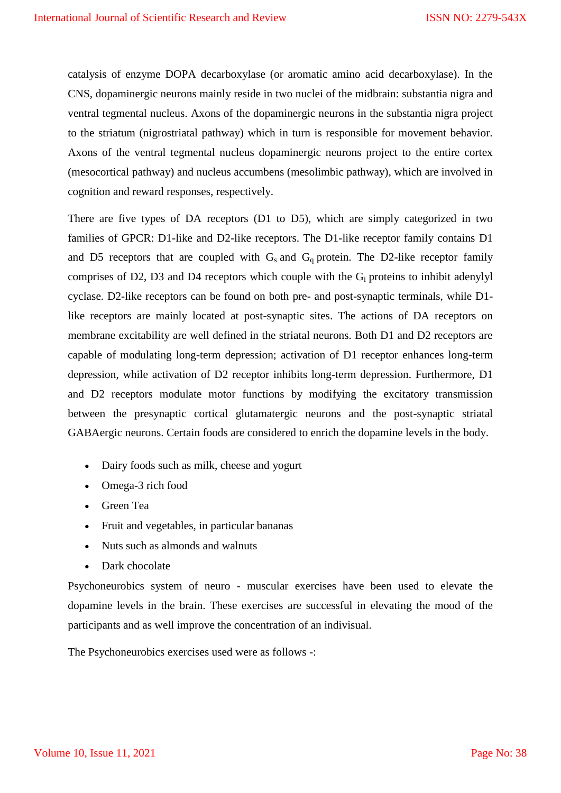catalysis of enzyme DOPA decarboxylase (or aromatic amino acid decarboxylase). In the CNS, dopaminergic neurons mainly reside in two nuclei of the midbrain: substantia nigra and ventral tegmental nucleus. Axons of the dopaminergic neurons in the substantia nigra project to the striatum (nigrostriatal pathway) which in turn is responsible for movement behavior. Axons of the ventral tegmental nucleus dopaminergic neurons project to the entire cortex (mesocortical pathway) and nucleus accumbens (mesolimbic pathway), which are involved in cognition and reward responses, respectively.

There are five types of DA receptors (D1 to D5), which are simply categorized in two families of GPCR: D1-like and D2-like receptors. The D1-like receptor family contains D1 and D5 receptors that are coupled with  $G_s$  and  $G_q$  protein. The D2-like receptor family comprises of D2, D3 and D4 receptors which couple with the  $G_i$  proteins to inhibit adenylyl cyclase. D2-like receptors can be found on both pre- and post-synaptic terminals, while D1 like receptors are mainly located at post-synaptic sites. The actions of DA receptors on membrane excitability are well defined in the striatal neurons. Both D1 and D2 receptors are capable of modulating long-term depression; activation of D1 receptor enhances long-term depression, while activation of D2 receptor inhibits long-term depression. Furthermore, D1 and D2 receptors modulate motor functions by modifying the excitatory transmission between the presynaptic cortical glutamatergic neurons and the post-synaptic striatal GABAergic neurons. Certain foods are considered to enrich the dopamine levels in the body.

- Dairy foods such as milk, cheese and yogurt
- Omega-3 rich food
- Green Tea
- Fruit and vegetables, in particular bananas
- Nuts such as almonds and walnuts
- Dark chocolate

Psychoneurobics system of neuro - muscular exercises have been used to elevate the dopamine levels in the brain. These exercises are successful in elevating the mood of the participants and as well improve the concentration of an indivisual.

The Psychoneurobics exercises used were as follows -: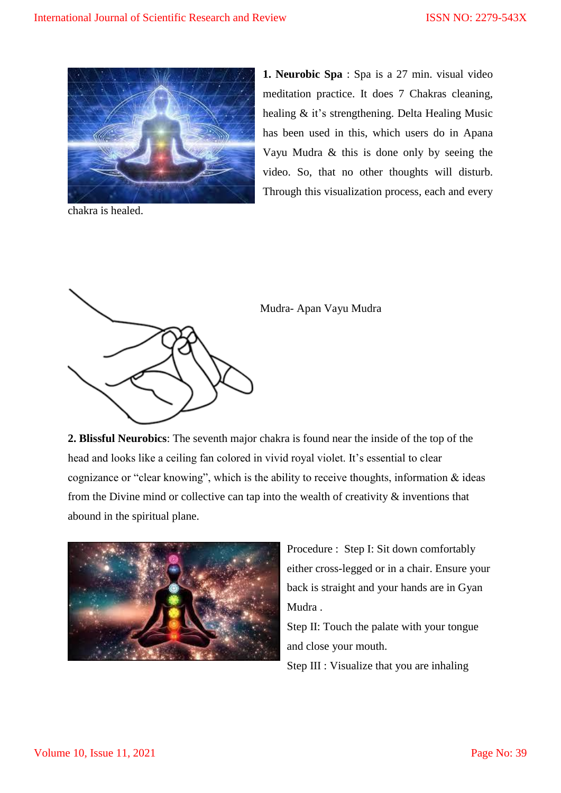

chakra is healed.

**1. Neurobic Spa** : Spa is a 27 min. visual video meditation practice. It does 7 Chakras cleaning, healing & it's strengthening. Delta Healing Music has been used in this, which users do in Apana Vayu Mudra & this is done only by seeing the video. So, that no other thoughts will disturb. Through this visualization process, each and every



Mudra- Apan Vayu Mudra

**2. Blissful Neurobics**: The seventh major chakra is found near the inside of the top of the head and looks like a ceiling fan colored in vivid royal violet. It's essential to clear cognizance or "clear knowing", which is the ability to receive thoughts, information & ideas from the Divine mind or collective can tap into the wealth of creativity & inventions that abound in the spiritual plane.



Procedure : Step I: Sit down comfortably either cross-legged or in a chair. Ensure your back is straight and your hands are in Gyan Mudra .

Step II: Touch the palate with your tongue and close your mouth.

Step III : Visualize that you are inhaling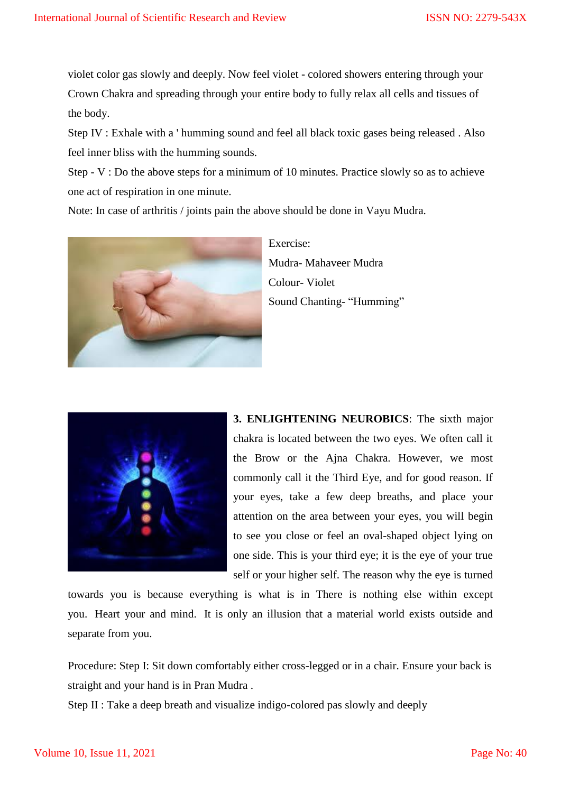violet color gas slowly and deeply. Now feel violet - colored showers entering through your Crown Chakra and spreading through your entire body to fully relax all cells and tissues of the body.

Step IV : Exhale with a ' humming sound and feel all black toxic gases being released . Also feel inner bliss with the humming sounds.

Step - V : Do the above steps for a minimum of 10 minutes. Practice slowly so as to achieve one act of respiration in one minute.

Note: In case of arthritis / joints pain the above should be done in Vayu Mudra.



Exercise: Mudra- Mahaveer Mudra Colour- Violet Sound Chanting- "Humming"



**3. ENLIGHTENING NEUROBICS**: The sixth major chakra is located between the two eyes. We often call it the Brow or the Ajna Chakra. However, we most commonly call it the Third Eye, and for good reason. If your eyes, take a few deep breaths, and place your attention on the area between your eyes, you will begin to see you close or feel an oval-shaped object lying on one side. This is your third eye; it is the eye of your true self or your higher self. The reason why the eye is turned

towards you is because everything is what is in There is nothing else within except you. Heart your and mind. It is only an illusion that a material world exists outside and separate from you.

Procedure: Step I: Sit down comfortably either cross-legged or in a chair. Ensure your back is straight and your hand is in Pran Mudra .

Step II : Take a deep breath and visualize indigo-colored pas slowly and deeply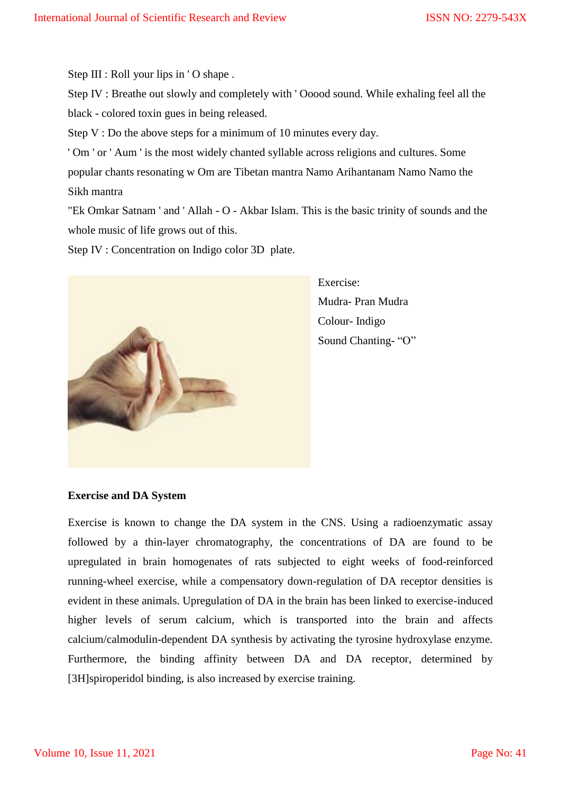Step III : Roll your lips in 'O shape.

Step IV : Breathe out slowly and completely with ' Ooood sound. While exhaling feel all the black - colored toxin gues in being released.

Step V : Do the above steps for a minimum of 10 minutes every day.

' Om ' or ' Aum ' is the most widely chanted syllable across religions and cultures. Some popular chants resonating w Om are Tibetan mantra Namo Arihantanam Namo Namo the Sikh mantra

"Ek Omkar Satnam ' and ' Allah - O - Akbar Islam. This is the basic trinity of sounds and the whole music of life grows out of this.

Step IV : Concentration on Indigo color 3D plate.



Exercise: Mudra- Pran Mudra Colour- Indigo Sound Chanting- "O"

#### **Exercise and DA System**

Exercise is known to change the DA system in the CNS. Using a radioenzymatic assay followed by a thin-layer chromatography, the concentrations of DA are found to be upregulated in brain homogenates of rats subjected to eight weeks of food-reinforced running-wheel exercise, while a compensatory down-regulation of DA receptor densities is evident in these animals. Upregulation of DA in the brain has been linked to exercise-induced higher levels of serum calcium, which is transported into the brain and affects calcium/calmodulin-dependent DA synthesis by activating the tyrosine hydroxylase enzyme. Furthermore, the binding affinity between DA and DA receptor, determined by [3H]spiroperidol binding, is also increased by exercise training.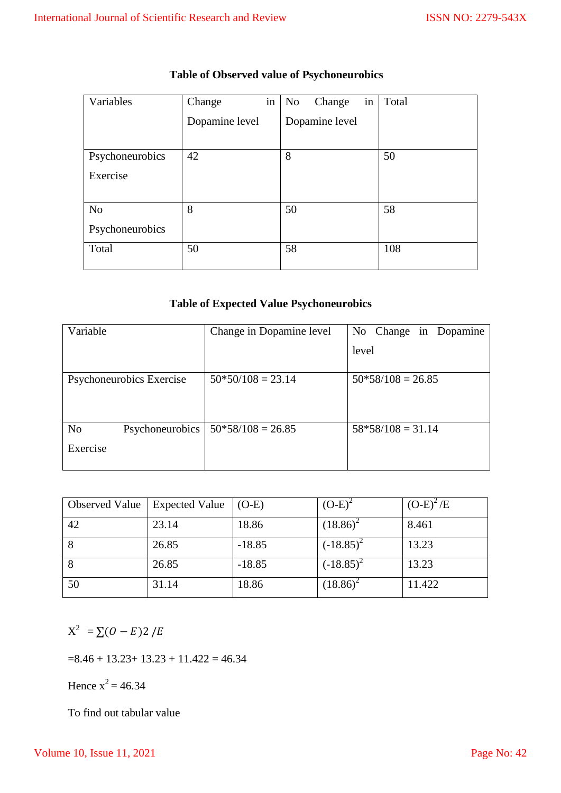| Variables       | Change         | in | No             | Change | in | Total |
|-----------------|----------------|----|----------------|--------|----|-------|
|                 | Dopamine level |    | Dopamine level |        |    |       |
|                 |                |    |                |        |    |       |
| Psychoneurobics | 42             |    | 8              |        |    | 50    |
| Exercise        |                |    |                |        |    |       |
|                 |                |    |                |        |    |       |
| N <sub>o</sub>  | 8              |    | 50             |        |    | 58    |
| Psychoneurobics |                |    |                |        |    |       |
| Total           | 50             |    | 58             |        |    | 108   |
|                 |                |    |                |        |    |       |

# **Table of Observed value of Psychoneurobics**

# **Table of Expected Value Psychoneurobics**

| Variable                          | Change in Dopamine level | No Change in Dopamine |  |  |
|-----------------------------------|--------------------------|-----------------------|--|--|
|                                   |                          | level                 |  |  |
|                                   |                          |                       |  |  |
| Psychoneurobics Exercise          | $50*50/108 = 23.14$      | $50*58/108 = 26.85$   |  |  |
|                                   |                          |                       |  |  |
|                                   |                          |                       |  |  |
| N <sub>o</sub><br>Psychoneurobics | $50*58/108 = 26.85$      | $58*58/108 = 31.14$   |  |  |
| Exercise                          |                          |                       |  |  |
|                                   |                          |                       |  |  |

| <b>Observed Value</b> | <b>Expected Value</b> | $(O-E)$  | $(O-E)^2$    | $(O-E)^2/E$ |
|-----------------------|-----------------------|----------|--------------|-------------|
| 42                    | 23.14                 | 18.86    | $(18.86)^2$  | 8.461       |
| 8                     | 26.85                 | $-18.85$ | $(-18.85)^2$ | 13.23       |
| 8                     | 26.85                 | $-18.85$ | $(-18.85)^2$ | 13.23       |
| 50                    | 31.14                 | 18.86    | $(18.86)^2$  | 11.422      |

 $X^2 = \sum (O - E)2$ 

 $=8.46 + 13.23 + 13.23 + 11.422 = 46.34$ 

Hence  $x^2 = 46.34$ 

To find out tabular value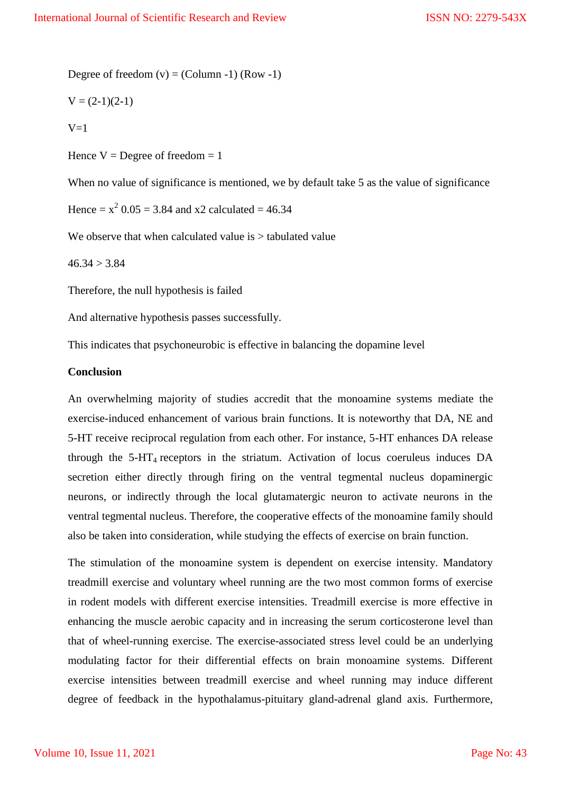Degree of freedom  $(v) = (Column -1) (Row -1)$ 

$$
V = (2-1)(2-1)
$$

 $V=1$ 

Hence  $V = \text{Degree of freedom} = 1$ 

When no value of significance is mentioned, we by default take 5 as the value of significance

Hence =  $x^2$  0.05 = 3.84 and x2 calculated = 46.34

We observe that when calculated value is  $>$  tabulated value

 $46.34 > 3.84$ 

Therefore, the null hypothesis is failed

And alternative hypothesis passes successfully.

This indicates that psychoneurobic is effective in balancing the dopamine level

#### **Conclusion**

An overwhelming majority of studies accredit that the monoamine systems mediate the exercise-induced enhancement of various brain functions. It is noteworthy that DA, NE and 5-HT receive reciprocal regulation from each other. For instance, 5-HT enhances DA release through the 5-HT<sup>4</sup> receptors in the striatum. Activation of locus coeruleus induces DA secretion either directly through firing on the ventral tegmental nucleus dopaminergic neurons, or indirectly through the local glutamatergic neuron to activate neurons in the ventral tegmental nucleus. Therefore, the cooperative effects of the monoamine family should also be taken into consideration, while studying the effects of exercise on brain function.

The stimulation of the monoamine system is dependent on exercise intensity. Mandatory treadmill exercise and voluntary wheel running are the two most common forms of exercise in rodent models with different exercise intensities. Treadmill exercise is more effective in enhancing the muscle aerobic capacity and in increasing the serum corticosterone level than that of wheel-running exercise. The exercise-associated stress level could be an underlying modulating factor for their differential effects on brain monoamine systems. Different exercise intensities between treadmill exercise and wheel running may induce different degree of feedback in the hypothalamus-pituitary gland-adrenal gland axis. Furthermore,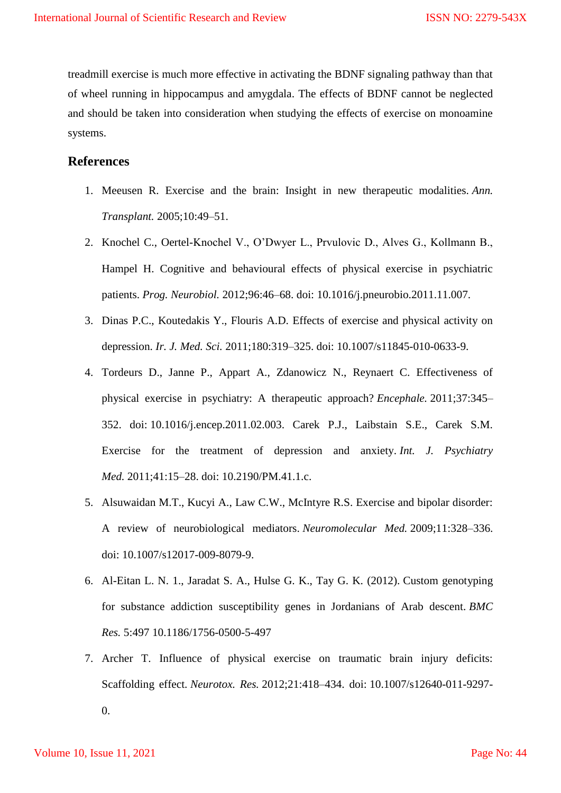treadmill exercise is much more effective in activating the BDNF signaling pathway than that of wheel running in hippocampus and amygdala. The effects of BDNF cannot be neglected and should be taken into consideration when studying the effects of exercise on monoamine systems.

## **References**

- 1. Meeusen R. Exercise and the brain: Insight in new therapeutic modalities. *Ann. Transplant.* 2005;10:49–51.
- 2. Knochel C., Oertel-Knochel V., O'Dwyer L., Prvulovic D., Alves G., Kollmann B., Hampel H. Cognitive and behavioural effects of physical exercise in psychiatric patients. *Prog. Neurobiol.* 2012;96:46–68. doi: 10.1016/j.pneurobio.2011.11.007.
- 3. Dinas P.C., Koutedakis Y., Flouris A.D. Effects of exercise and physical activity on depression. *Ir. J. Med. Sci.* 2011;180:319–325. doi: 10.1007/s11845-010-0633-9.
- 4. Tordeurs D., Janne P., Appart A., Zdanowicz N., Reynaert C. Effectiveness of physical exercise in psychiatry: A therapeutic approach? *Encephale.* 2011;37:345– 352. doi: 10.1016/j.encep.2011.02.003. Carek P.J., Laibstain S.E., Carek S.M. Exercise for the treatment of depression and anxiety. *Int. J. Psychiatry Med.* 2011;41:15–28. doi: 10.2190/PM.41.1.c.
- 5. Alsuwaidan M.T., Kucyi A., Law C.W., McIntyre R.S. Exercise and bipolar disorder: A review of neurobiological mediators. *Neuromolecular Med.* 2009;11:328–336. doi: 10.1007/s12017-009-8079-9.
- 6. Al-Eitan L. N. 1., Jaradat S. A., Hulse G. K., Tay G. K. (2012). Custom genotyping for substance addiction susceptibility genes in Jordanians of Arab descent. *BMC Res.* 5:497 10.1186/1756-0500-5-497
- 7. Archer T. Influence of physical exercise on traumatic brain injury deficits: Scaffolding effect. *Neurotox. Res.* 2012;21:418–434. doi: 10.1007/s12640-011-9297- 0.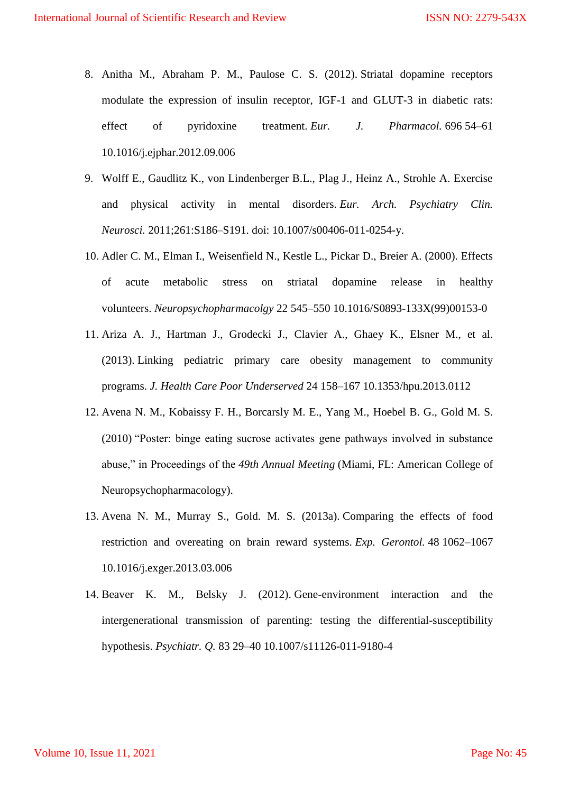- 8. Anitha M., Abraham P. M., Paulose C. S. (2012). Striatal dopamine receptors modulate the expression of insulin receptor, IGF-1 and GLUT-3 in diabetic rats: effect of pyridoxine treatment. *Eur. J. Pharmacol.* 696 54–61 10.1016/j.ejphar.2012.09.006
- 9. Wolff E., Gaudlitz K., von Lindenberger B.L., Plag J., Heinz A., Strohle A. Exercise and physical activity in mental disorders. *Eur. Arch. Psychiatry Clin. Neurosci.* 2011;261:S186–S191. doi: 10.1007/s00406-011-0254-y.
- 10. Adler C. M., Elman I., Weisenfield N., Kestle L., Pickar D., Breier A. (2000). Effects of acute metabolic stress on striatal dopamine release in healthy volunteers. *Neuropsychopharmacolgy* 22 545–550 10.1016/S0893-133X(99)00153-0
- 11. Ariza A. J., Hartman J., Grodecki J., Clavier A., Ghaey K., Elsner M., et al. (2013). Linking pediatric primary care obesity management to community programs. *J. Health Care Poor Underserved* 24 158–167 10.1353/hpu.2013.0112
- 12. Avena N. M., Kobaissy F. H., Borcarsly M. E., Yang M., Hoebel B. G., Gold M. S. (2010) "Poster: binge eating sucrose activates gene pathways involved in substance abuse," in Proceedings of the *49th Annual Meeting* (Miami, FL: American College of Neuropsychopharmacology).
- 13. Avena N. M., Murray S., Gold. M. S. (2013a). Comparing the effects of food restriction and overeating on brain reward systems. *Exp. Gerontol.* 48 1062–1067 10.1016/j.exger.2013.03.006
- 14. Beaver K. M., Belsky J. (2012). Gene-environment interaction and the intergenerational transmission of parenting: testing the differential-susceptibility hypothesis. *Psychiatr. Q.* 83 29–40 10.1007/s11126-011-9180-4